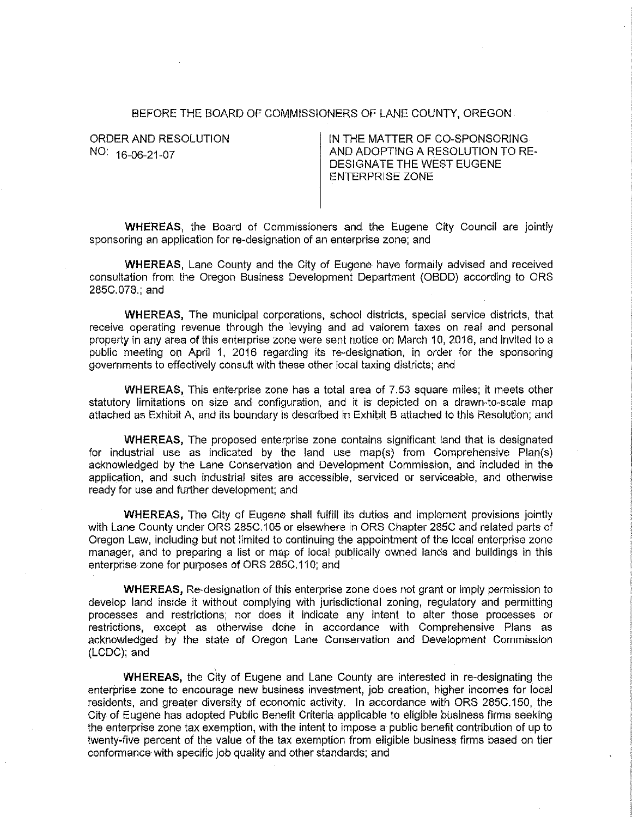### BEFORE THE BOARD OF COMMISSIONERS OF LANE COUNTY, OREGON

ORDER AND RESOLUTION NO: 16-06-21-07

IN THE MATTER OF CO-SPONSORING AND ADOPTING A RESOLUTION TO RE-DESIGNATE THE WEST EUGENE ENTERPRISE ZONE

**WHEREAS,** the Board of Commissioners and the Eugene City Council are jointly sponsoring an application for re-designation of an enterprise zone; and

**WHEREAS,** Lane County and the City of Eugene have formally advised and received consultation from the Oregon Business Development Department (OBDD) according to ORS 285C.078.; and

**WHEREAS,** The municipal corporations, school districts, special service districts, that receive operating revenue through the levying and ad valorem taxes on real and personal property in any area of this enterprise zone were sent notice on March 10, 2016, and invited to a public meeting on April 1, 2016 regarding its re-designation, in order for the sponsoring governments to effectively consult with these other local taxing districts; and

**WHEREAS,** This enterprise zone has a total area of 7.53 square miles; it meets other statutory limitations on size and configuration, and it is depicted on a drawn-to-scale map attached as Exhibit A, and its boundary is described in Exhibit B attached to this Resolution; and

**WHEREAS,** The proposed enterprise zone contains significant land that is designated for industrial use as indicated by the land use map(s) from Comprehensive Plan(s) acknowledged by the Lane Conservation and Development Commission, and included in the application, and such industrial sites are accessible, serviced or serviceable, and otherwise ready for use and further development; and

**WHEREAS,** The City of Eugene shall fulfill its duties and implement provisions jointly with Lane County under ORS 285C.105 or elsewhere in ORS Chapter 285C and related parts of Oregon Law, including but not limited to continuing the appointment of the local enterprise zone manager, and to preparing a list or map of local publically owned lands and buildings in this enterprise zone for purposes of ORS 285C.110; and

**WHEREAS,** Re-designation of this enterprise zone does not grant or imply permission to develop land inside it without complying with jurisdictional zoning, regulatory and permitting processes and restrictions; nor does it indicate any intent to alter those processes or restrictions, except as otherwise done in accordance with Comprehensive Plans as acknowledged by the state of Oregon Lane Conservation and Development Commission (LCDC); and

**WHEREAS,** the City of Eugene and Lane County are interested in re-designating the enterprise zone to encourage new business investment, job creation, higher incomes for local residents, and greater diversity of economic activity. In accordance with ORS 285C.150, the City of Eugene has adopted Public Benefit Criteria applicable to eligible business firms seeking the enterprise zone tax exemption, with the intent to impose a public benefit contribution of up to twenty-five percent of the value of the tax exemption from eligible business firms based on tier conformance with specific job quality and other standards; and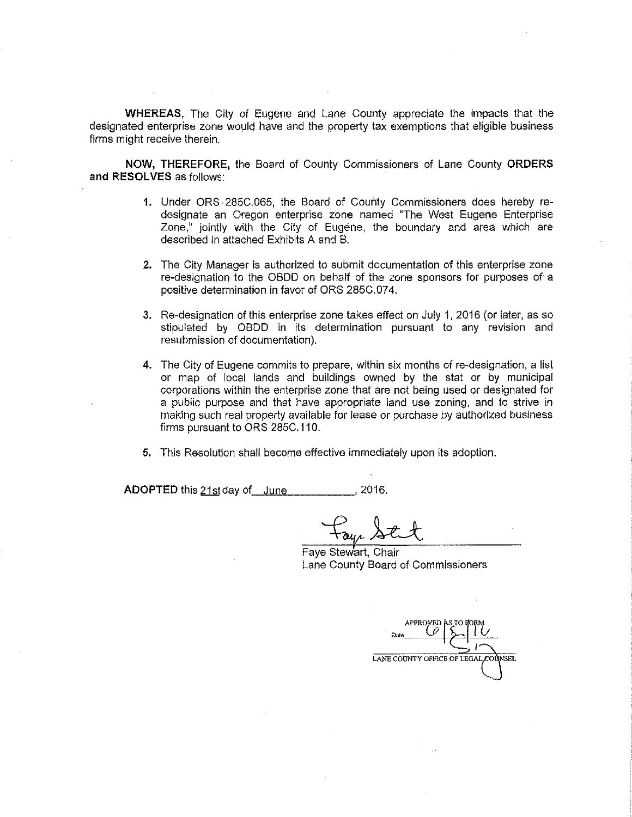**WHEREAS,** The City of Eugene and Lane County appreciate the impacts that the designated enterprise zone would have and the property tax exemptions that eligible business firms might receive therein.

**NOW, THEREFORE,** the Board of County Commissioners of Lane County **ORDERS and RESOLVES** as follows:

- 1. Under ORS 285C.065, the Board of County Commissioners does hereby redesignate an Oregon enterprise zone named "The West Eugene Enterprise Zone," jointly with the City of Eugene, the boundary and area which are described in attached Exhibits A and B.
- 2. The City Manager is authorized to submit documentation of this enterprise zone re-designation to the OBDD on behalf of the zone sponsors for purposes of a positive determination in favor of ORS 285C.074.
- 3. Re-designation of this enterprise zone takes effect on July 1, 2016 (or later, as so stipulated by OBOO in its determination pursuant to any revision and resubmission of documentation).
- **4.** The City of Eugene commits to prepare, within six months of re-designation, a list or map of local lands and buildings owned by the stat or by municipal corporations within the enterprise zone that are not being used or designated for a public purpose and that have appropriate land use zoning, and to strive in making such real property available for lease or purchase by authorized business firms pursuant to ORS 285C.110.
- 5. This Resolution shall become effective immediately upon its adoption.

**ADOPTED** this 21st day of June, the manufacturers of  $\frac{1}{2016}$ .

Faye Stewart, Chair Lane County Board of Commissioners

**APPROVED** LANE COUNTY OFFICE OF LEGAL COUNSEL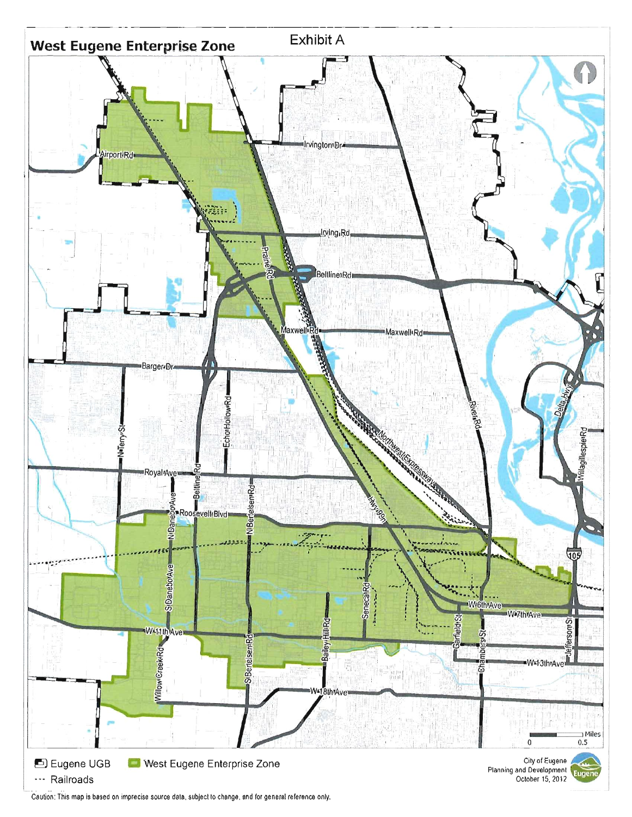

Caution: This map is based on imprecise source data, subject to change, and for general reference only.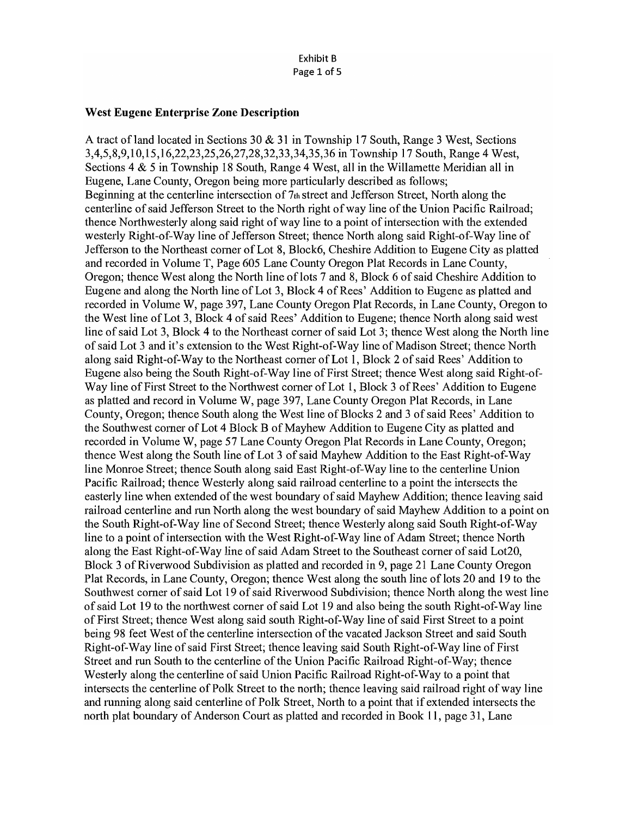# **Exhibit B** Page 1 of 5

### **West Eugene Enterprise Zone Description**

A tract of land located in Sections 30 & 31 in Township 17 South, Range 3 West, Sections 3,4,5,8,9,10,15,16,22,23,25,26,27,28,32,33,34,35,36 in Township 17 South, Range 4 West, Sections 4 & 5 in Township 18 South, Range 4 West, all in the Willamette Meridian all in Eugene, Lane County, Oregon being more particularly described as follows; Beginning at the centerline intersection of 7th street and Jefferson Street, North along the centerline of said Jefferson Street to the North right of way line of the Union Pacific Railroad; thence Northwesterly along said right of way line to a point of intersection with the extended westerly Right-of-Way line of Jefferson Street; thence North along said Right-of-Way line of Jefferson to the Northeast corner of Lot 8, Block6, Cheshire Addition to Eugene City as platted and recorded in Volume T, Page 605 Lane County Oregon Plat Records in Lane County, Oregon; thence West along the North line of lots 7 and 8, Block 6 of said Cheshire Addition to Eugene and along the North line of Lot 3, Block 4 of Rees' Addition to Eugene as platted and recorded in Volume W, page 397, Lane County Oregon Plat Records, in Lane County, Oregon to the West line of Lot 3, Block 4 of said Rees' Addition to Eugene; thence North along said west line of said Lot 3, Block 4 to the Northeast corner of said Lot 3; thence West along the North line of said Lot 3 and it's extension to the West Right-of-Way line of Madison Street; thence North along said Right-of-Way to the Northeast corner of Lot 1, Block 2 of said Rees' Addition to Eugene also being the South Right-of-Way line of First Street; thence West along said Right-of-Way line of First Street to the Northwest corner of Lot 1, Block 3 of Rees' Addition to Eugene as platted and record in Volume W, page 397, Lane County Oregon Plat Records, in Lane County, Oregon; thence South along the West line of Blocks 2 and 3 of said Rees' Addition to the Southwest corner of Lot 4 Block B of Mayhew Addition to Eugene City as platted and recorded in Volume W, page 57 Lane County Oregon Plat Records in Lane County, Oregon; thence West along the South line of Lot 3 of said Mayhew Addition to the East Right-of-Way line Monroe Street; thence South along said East Right-of-Way line to the centerline Union Pacific Railroad; thence Westerly along said railroad centerline to a point the intersects the easterly line when extended of the west boundary of said Mayhew Addition; thence leaving said railroad centerline and run North along the west boundary of said Mayhew Addition to a point on the South Right-of-Way line of Second Street; thence Westerly along said South Right-of-Way line to a point of intersection with the West Right-of-Way line of Adam Street; thence North along the East Right-of-Way line of said Adam Street to the Southeast corner of said Lot20, Block 3 of Riverwood Subdivision as platted and recorded in 9, page 21 Lane County Oregon Plat Records, in Lane County, Oregon; thence West along the south line of lots 20 and 19 to the Southwest corner of said Lot 19 of said Riverwood Subdivision; thence North along the west line of said Lot 19 to the northwest corner of said Lot 19 and also being the south Right-of-Way line of First Street; thence West along said south Right-of-Way line of said First Street to a point being 98 feet West of the centerline intersection of the vacated Jackson Street and said South Right-of-Way line of said First Street; thence leaving said South Right-of-Way line of First Street and run South to the centerline of the Union Pacific Railroad Right-of-Way; thence Westerly along the centerline of said Union Pacific Railroad Right-of-Way to a point that intersects the centerline of Polk Street to the north; thence leaving said railroad right of way line and running along said centerline of Polk Street, North to a point that if extended intersects the north plat boundary of Anderson Court as platted and recorded in Book 11, page 31, Lane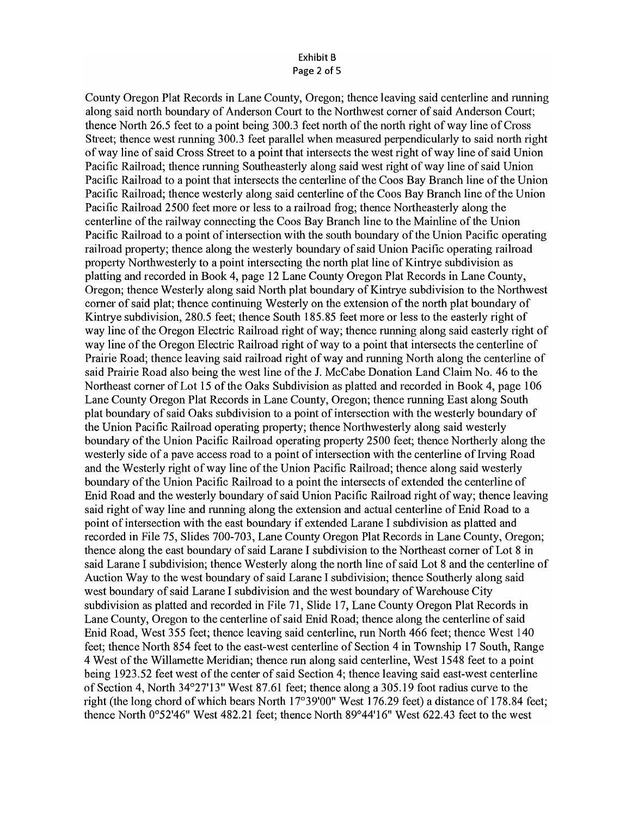#### **Exhibit B** Page 2 of 5

County Oregon Plat Records in Lane County, Oregon; thence leaving said centerline and running along said north boundary of Anderson Court to the Northwest corner of said Anderson Court; thence North 26.5 feet to a point being 300.3 feet north of the north right of way line of Cross Street; thence west running 300.3 feet parallel when measured perpendicularly to said north right of way line of said Cross Street to a point that intersects the west right of way line of said Union Pacific Railroad; thence running Southeasterly along said west right of way line of said Union Pacific Railroad to a point that intersects the centerline of the Coos Bay Branch line of the Union Pacific Railroad; thence westerly along said centerline of the Coos Bay Branch line of the Union Pacific Railroad 2500 feet more or less to a railroad frog; thence Northeasterly along the centerline of the railway connecting the Coos Bay Branch line to the Mainline of the Union Pacific Railroad to a point of intersection with the south boundary of the Union Pacific operating railroad property; thence along the westerly boundary of said Union Pacific operating railroad property Northwesterly to a point intersecting the north plat line of Kintrye subdivision as platting and recorded in Book 4, page 12 Lane County Oregon Plat Records in Lane County, Oregon; thence Westerly along said North plat boundary of Kintrye subdivision to the Northwest corner of said plat; thence continuing Westerly on the extension of the north plat boundary of Kintrye subdivision, 280.5 feet; thence South 185.85 feet more or less to the easterly right of way line of the Oregon Electric Railroad right of way; thence running along said easterly right of way line of the Oregon Electric Railroad right of way to a point that intersects the centerline of Prairie Road; thence leaving said railroad right of way and running North along the centerline of said Prairie Road also being the west line of the J. McCabe Donation Land Claim No. 46 to the Northeast corner of Lot 15 of the Oaks Subdivision as platted and recorded in Book 4, page 106 Lane County Oregon Plat Records in Lane County, Oregon; thence running East along South plat boundary of said Oaks subdivision to a point of intersection with the westerly boundary of the Union Pacific Railroad operating property; thence Northwesterly along said westerly boundary of the Union Pacific Railroad operating property 2500 feet; thence Northerly along the westerly side of a pave access road to a point of intersection with the centerline of Irving Road and the Westerly right of way line of the Union Pacific Railroad; thence along said westerly boundary of the Union Pacific Railroad to a point the intersects of extended the centerline of Enid Road and the westerly boundary of said Union Pacific Railroad right of way; thence leaving said right of way line and running along the extension and actual centerline of Enid Road to a point of intersection with the east boundary if extended Larane I subdivision as platted and recorded in File 75, Slides 700-703, Lane County Oregon Plat Records in Lane County, Oregon; thence along the east boundary of said Larane I subdivision to the Northeast corner of Lot 8 in said Larane I subdivision; thence Westerly along the north line of said Lot 8 and the centerline of Auction Way to the west boundary of said Larane I subdivision; thence Southerly along said west boundary of said Larane I subdivision and the west boundary of Warehouse City subdivision as platted and recorded in File 71, Slide 17, Lane County Oregon Plat Records in Lane County, Oregon to the centerline of said Enid Road; thence along the centerline of said Enid Road, West 355 feet; thence leaving said centerline, run North 466 feet; thence West 140 feet; thence North 854 feet to the east-west centerline of Section 4 in Township 17 South, Range 4 West of the Willamette Meridian; thence run along said centerline, West 1548 feet to a point being 1923.52 feet west of the center of said Section 4; thence leaving said east-west centerline of Section 4, North 34°27'13" West 87.61 feet; thence along a 305.19 foot radius curve to the right (the long chord of which bears North 17°39'00" West 176.29 feet) a distance of 178.84 feet; thence North  $0^{\circ}52'46''$  West 482.21 feet; thence North 89°44'16" West 622.43 feet to the west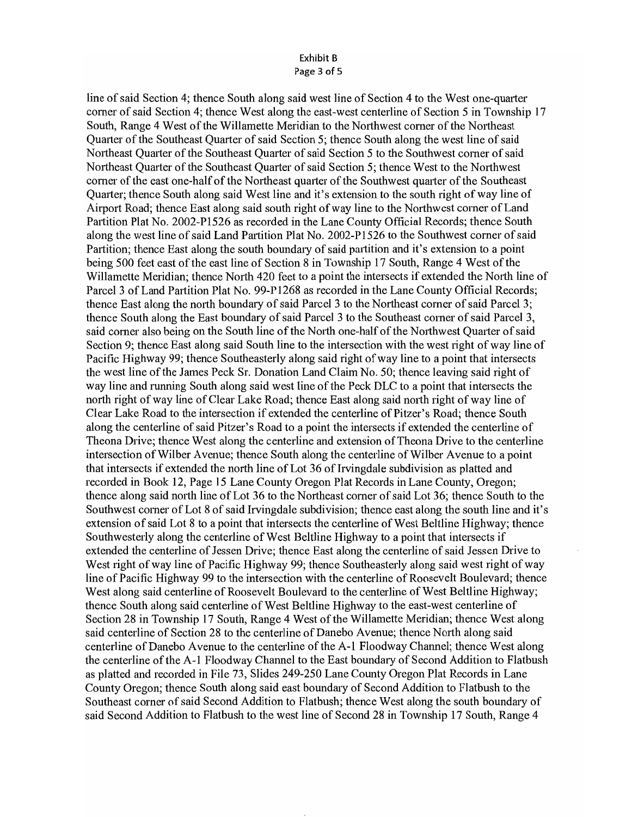#### **Exhibit B** Page 3 of 5

line of said Section 4; thence South along said west line of Section 4 to the West one-quarter corner of said Section 4; thence West along the east-west centerline of Section 5 in Township 17 South, Range 4 West of the Willamette Meridian to the Northwest corner of the Northeast Quarter of the Southeast Quarter of said Section 5; thence South along the west line of said Northeast Ouarter of the Southeast Ouarter of said Section 5 to the Southwest corner of said Northeast Ouarter of the Southeast Ouarter of said Section 5; thence West to the Northwest corner of the east one-half of the Northeast quarter of the Southwest quarter of the Southeast Quarter; thence South along said West line and it's extension to the south right of way line of Airport Road; thence East along said south right of way line to the Northwest corner of Land Partition Plat No. 2002-P1526 as recorded in the Lane County Official Records; thence South along the west line of said Land Partition Plat No. 2002-P1526 to the Southwest corner of said Partition; thence East along the south boundary of said partition and it's extension to a point being 500 feet east of the east line of Section 8 in Township 17 South, Range 4 West of the Willamette Meridian; thence North 420 feet to a point the intersects if extended the North line of Parcel 3 of Land Partition Plat No. 99-P1268 as recorded in the Lane County Official Records: thence East along the north boundary of said Parcel 3 to the Northeast corner of said Parcel 3; thence South along the East boundary of said Parcel 3 to the Southeast corner of said Parcel 3, said corner also being on the South line of the North one-half of the Northwest Quarter of said Section 9; thence East along said South line to the intersection with the west right of way line of Pacific Highway 99; thence Southeasterly along said right of way line to a point that intersects the west line of the James Peck Sr. Donation Land Claim No. 50; thence leaving said right of way line and running South along said west line of the Peck DLC to a point that intersects the north right of way line of Clear Lake Road; thence East along said north right of way line of Clear Lake Road to the intersection if extended the centerline of Pitzer's Road: thence South along the centerline of said Pitzer's Road to a point the intersects if extended the centerline of Theona Drive; thence West along the centerline and extension of Theona Drive to the centerline intersection of Wilber Avenue; thence South along the centerline of Wilber Avenue to a point that intersects if extended the north line of Lot 36 of Irvingdale subdivision as platted and recorded in Book 12, Page 15 Lane County Oregon Plat Records in Lane County, Oregon; thence along said north line of Lot 36 to the Northeast corner of said Lot 36; thence South to the Southwest corner of Lot 8 of said Irvingdale subdivision; thence east along the south line and it's extension of said Lot 8 to a point that intersects the centerline of West Beltline Highway; thence Southwesterly along the centerline of West Beltline Highway to a point that intersects if extended the centerline of Jessen Drive; thence East along the centerline of said Jessen Drive to West right of way line of Pacific Highway 99; thence Southeasterly along said west right of way line of Pacific Highway 99 to the intersection with the centerline of Roosevelt Boulevard; thence West along said centerline of Roosevelt Boulevard to the centerline of West Beltline Highway; thence South along said centerline of West Beltline Highway to the east-west centerline of Section 28 in Township 17 South, Range 4 West of the Willamette Meridian; thence West along said centerline of Section 28 to the centerline of Danebo Avenue; thence North along said centerline of Danebo Avenue to the centerline of the A-1 Floodway Channel; thence West along the centerline of the A-1 Floodway Channel to the East boundary of Second Addition to Flatbush as platted and recorded in File 73, Slides 249-250 Lane County Oregon Plat Records in Lane County Oregon; thence South along said east boundary of Second Addition to Flatbush to the Southeast corner of said Second Addition to Flatbush; thence West along the south boundary of said Second Addition to Flatbush to the west line of Second 28 in Township 17 South, Range 4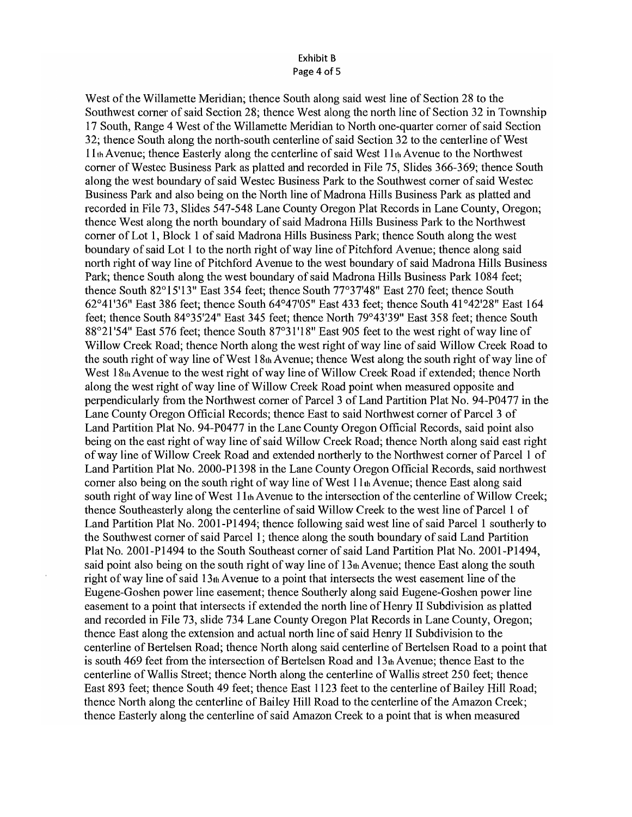#### **Exhibit B** Page 4 of 5

West of the Willamette Meridian; thence South along said west line of Section 28 to the Southwest corner of said Section 28; thence West along the north line of Section 32 in Township 17 South, Range 4 West of the Willamette Meridian to North one-quarter corner of said Section 32; thence South along the north-south centerline of said Section 32 to the centerline of West I I<sub>th</sub> Avenue; thence Easterly along the centerline of said West 11th Avenue to the Northwest corner of Westec Business Park as platted and recorded in File 75, Slides 366-369; thence South along the west boundary of said Westec Business Park to the Southwest corner of said Westec Business Park and also being on the North line of Madrona Hills Business Park as platted and recorded in File 73, Slides 547-548 Lane County Oregon Plat Records in Lane County, Oregon; thence West along the north boundary of said Madrona Hills Business Park to the Northwest corner of Lot 1, Block 1 of said Madrona Hills Business Park; thence South along the west boundary of said Lot 1 to the north right of way line of Pitchford Avenue; thence along said north right of way line of Pitchford Avenue to the west boundary of said Madrona Hills Business Park; thence South along the west boundary of said Madrona Hills Business Park 1084 feet; thence South 82°15'13" East 354 feet; thence South 77°37'48" East 270 feet; thence South 62°41'36" East 386 feet; thence South 64°47'05" East 433 feet; thence South 41°42'28" East 164 feet; thence South 84°35'24" East 345 feet; thence North 79°43'39" East 358 feet; thence South 88°21'54" East 576 feet; thence South 87°31'18" East 905 feet to the west right of way line of Willow Creek Road; thence North along the west right of way line of said Willow Creek Road to the south right of way line of West 18th Avenue; thence West along the south right of way line of West 18th Avenue to the west right of way line of Willow Creek Road if extended; thence North along the west right of way line of Willow Creek Road point when measured opposite and perpendicularly from the Northwest corner of Parcel 3 of Land Partition Plat No. 94-P0477 in the Lane County Oregon Official Records; thence East to said Northwest corner of Parcel 3 of Land Partition Plat No. 94-P0477 in the Lane County Oregon Official Records, said point also being on the east right of way line of said Willow Creek Road; thence North along said east right of way line of Willow Creek Road and extended northerly to the Northwest corner of Parcel 1 of Land Partition Plat No. 2000-P1398 in the Lane County Oregon Official Records, said northwest corner also being on the south right of way line of West  $11<sub>th</sub>$  Avenue; thence East along said south right of way line of West 11th Avenue to the intersection of the centerline of Willow Creek; thence Southeasterly along the centerline of said Willow Creek to the west line of Parcel 1 of Land Partition Plat No. 2001-P1494; thence following said west line of said Parcel 1 southerly to the Southwest corner of said Parcel 1; thence along the south boundary of said Land Partition Plat No. 2001-P1494 to the South Southeast corner of said Land Partition Plat No. 2001-P1494, said point also being on the south right of way line of 13th Avenue; thence East along the south right of way line of said  $13<sub>th</sub>$  Avenue to a point that intersects the west easement line of the Eugene-Goshen power line easement; thence Southerly along said Eugene-Goshen power line easement to a point that intersects if extended the north line of Henry II Subdivision as platted and recorded in File 73, slide 734 Lane County Oregon Plat Records in Lane County, Oregon; thence East along the extension and actual north line of said Henry II Subdivision to the centerline of Bertelsen Road; thence North along said centerline of Bertelsen Road to a point that is south 469 feet from the intersection of Bertelsen Road and 13th Avenue; thence East to the centerline of Wallis Street; thence North along the centerline of Wallis street 250 feet; thence East 893 feet; thence South 49 feet; thence East 1123 feet to the centerline of Bailey Hill Road; thence North along the centerline of Bailey Hill Road to the centerline of the Amazon Creek; thence Easterly along the centerline of said Amazon Creek to a point that is when measured